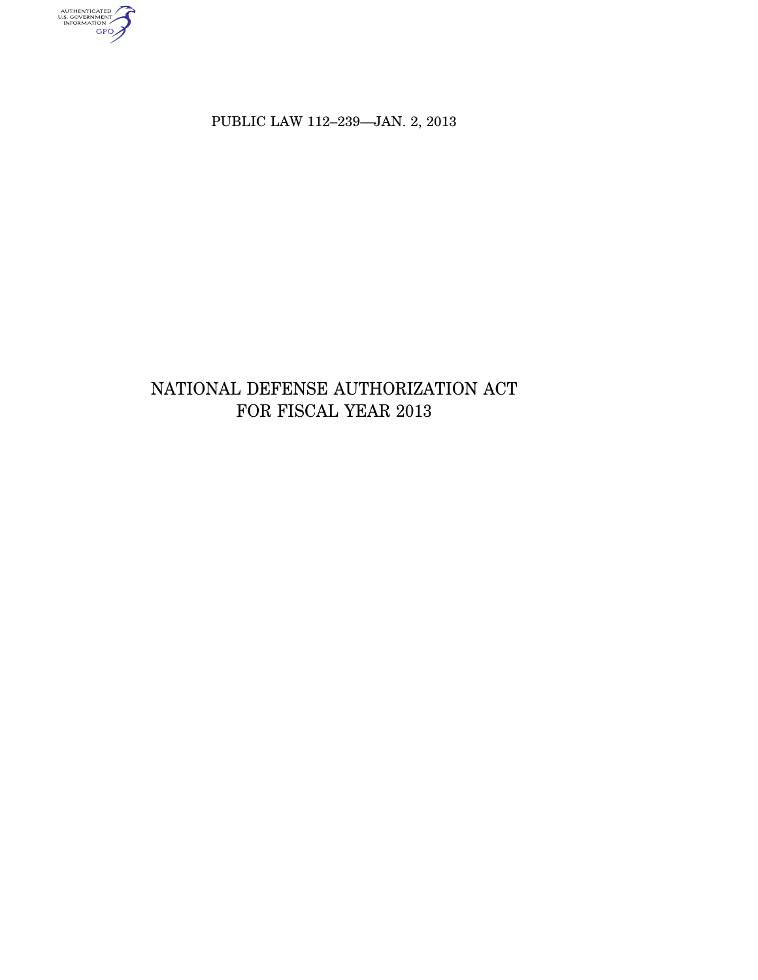AUTHENTICATED<br>U.S. GOVERNMENT<br>INFORMATION

PUBLIC LAW 112–239—JAN. 2, 2013

# NATIONAL DEFENSE AUTHORIZATION ACT FOR FISCAL YEAR 2013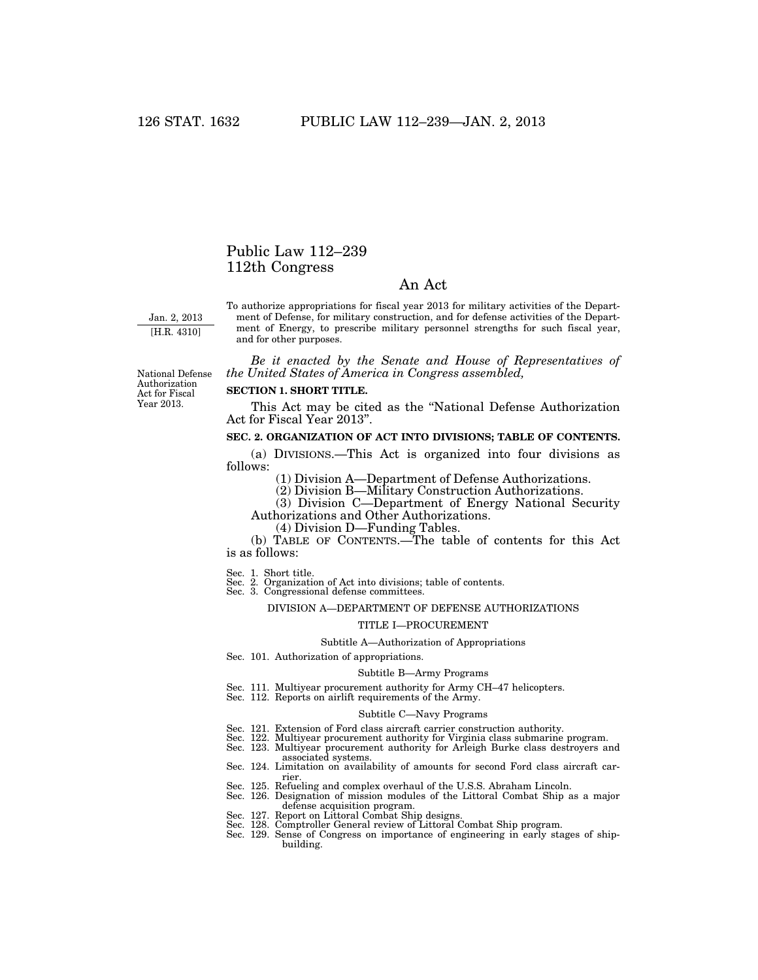# Public Law 112–239 112th Congress

# An Act

Jan. 2, 2013 [H.R. 4310]

To authorize appropriations for fiscal year 2013 for military activities of the Department of Defense, for military construction, and for defense activities of the Department of Energy, to prescribe military personnel strengths for such fiscal year, and for other purposes.

*Be it enacted by the Senate and House of Representatives of the United States of America in Congress assembled,* 

National Defense Authorization Act for Fiscal Year 2013.

### **SECTION 1. SHORT TITLE.**

This Act may be cited as the ''National Defense Authorization Act for Fiscal Year 2013''.

# **SEC. 2. ORGANIZATION OF ACT INTO DIVISIONS; TABLE OF CONTENTS.**

(a) DIVISIONS.—This Act is organized into four divisions as follows:

(1) Division A—Department of Defense Authorizations.

(2) Division B—Military Construction Authorizations.

(3) Division C—Department of Energy National Security Authorizations and Other Authorizations.

(4) Division D—Funding Tables.

(b) TABLE OF CONTENTS.—The table of contents for this Act is as follows:

Sec. 1. Short title. Sec. 2. Organization of Act into divisions; table of contents. Sec. 3. Congressional defense committees.

#### DIVISION A—DEPARTMENT OF DEFENSE AUTHORIZATIONS

#### TITLE I—PROCUREMENT

#### Subtitle A—Authorization of Appropriations

Sec. 101. Authorization of appropriations.

#### Subtitle B—Army Programs

- Sec. 111. Multiyear procurement authority for Army CH–47 helicopters. Sec. 112. Reports on airlift requirements of the Army.
- 

#### Subtitle C—Navy Programs

- Sec. 121. Extension of Ford class aircraft carrier construction authority.
- Sec. 122. Multiyear procurement authority for Virginia class submarine program. Sec. 123. Multiyear procurement authority for Arleigh Burke class destroyers and
- 
- associated systems.
- Sec. 124. Limitation on availability of amounts for second Ford class aircraft carrier.
- Sec. 125. Refueling and complex overhaul of the U.S.S. Abraham Lincoln.
- Sec. 126. Designation of mission modules of the Littoral Combat Ship as a major defense acquisition program. Sec. 127. Report on Littoral Combat Ship designs. Sec. 128. Comptroller General review of Littoral Combat Ship program.
- 
- 
- Sec. 129. Sense of Congress on importance of engineering in early stages of shipbuilding.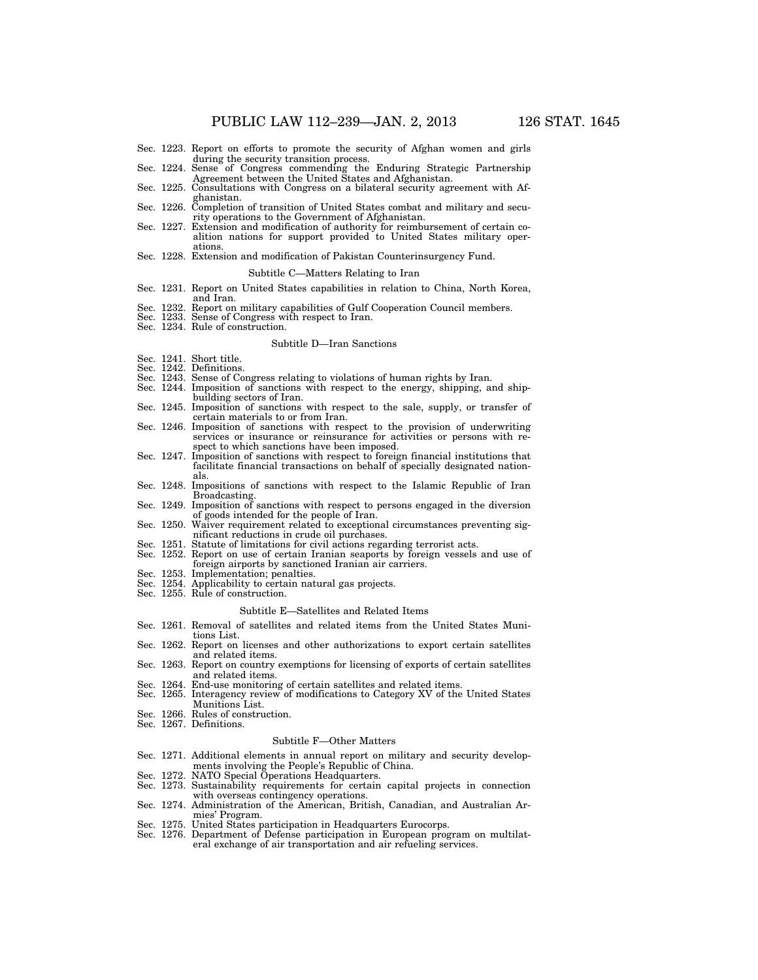- Sec. 1223. Report on efforts to promote the security of Afghan women and girls during the security transition process.<br>Sec. 1224. Sense of Congress commending the Enduring Strategic Partnership
- Agreement between the United States and Afghanistan. Sec. 1225. Consultations with Congress on a bilateral security agreement with Af-
- ghanistan. Sec. 1226. Completion of transition of United States combat and military and secu-
- rity operations to the Government of Afghanistan. Sec. 1227. Extension and modification of authority for reimbursement of certain co-
- alition nations for support provided to United States military operations.
- Sec. 1228. Extension and modification of Pakistan Counterinsurgency Fund.

#### Subtitle C—Matters Relating to Iran

- Sec. 1231. Report on United States capabilities in relation to China, North Korea,
- and Iran. Sec. 1232. Report on military capabilities of Gulf Cooperation Council members.
- Sec. 1233. Sense of Congress with respect to Iran.
- Sec. 1234. Rule of construction.

#### Subtitle D—Iran Sanctions

- Sec. 1241. Short title.
- Sec. 1242. Definitions.<br>Sec. 1243. Sense of Co.
- Sense of Congress relating to violations of human rights by Iran.
- Sec. 1244. Imposition of sanctions with respect to the energy, shipping, and shipbuilding sectors of Iran.
- Sec. 1245. Imposition of sanctions with respect to the sale, supply, or transfer of certain materials to or from Iran.
- Sec. 1246. Imposition of sanctions with respect to the provision of underwriting services or insurance or reinsurance for activities or persons with respect to which sanctions have been imposed.
- Sec. 1247. Imposition of sanctions with respect to foreign financial institutions that facilitate financial transactions on behalf of specially designated nationals.
- Sec. 1248. Impositions of sanctions with respect to the Islamic Republic of Iran Broadcasting. Sec. 1249. Imposition of sanctions with respect to persons engaged in the diversion
- of goods intended for the people of Iran.
- Sec. 1250. Waiver requirement related to exceptional circumstances preventing significant reductions in crude oil purchases.
- Sec. 1251. Statute of limitations for civil actions regarding terrorist acts.
- Sec. 1252. Report on use of certain Iranian seaports by foreign vessels and use of foreign airports by sanctioned Iranian air carriers.
- Sec. 1253. Implementation; penalties.
- Sec. 1254. Applicability to certain natural gas projects.
- Sec. 1255. Rule of construction.

#### Subtitle E—Satellites and Related Items

- Sec. 1261. Removal of satellites and related items from the United States Munitions List.
- Sec. 1262. Report on licenses and other authorizations to export certain satellites and related items.
- Sec. 1263. Report on country exemptions for licensing of exports of certain satellites and related items.
- Sec. 1264. End-use monitoring of certain satellites and related items.<br>Sec. 1265. Interagency review of modifications to Category XV of the
- Interagency review of modifications to Category XV of the United States Munitions List.
- Sec. 1266. Rules of construction.
- Sec. 1267. Definitions.

#### Subtitle F—Other Matters

- Sec. 1271. Additional elements in annual report on military and security developments involving the People's Republic of China. Sec. 1272. NATO Special Operations Headquarters.
- 
- Sec. 1273. Sustainability requirements for certain capital projects in connection with overseas contingency operations.
- Sec. 1274. Administration of the American, British, Canadian, and Australian Armies' Program. Sec. 1275. United States participation in Headquarters Eurocorps. Sec. 1276. Department of Defense participation in European program on multilat-
- 
- eral exchange of air transportation and air refueling services.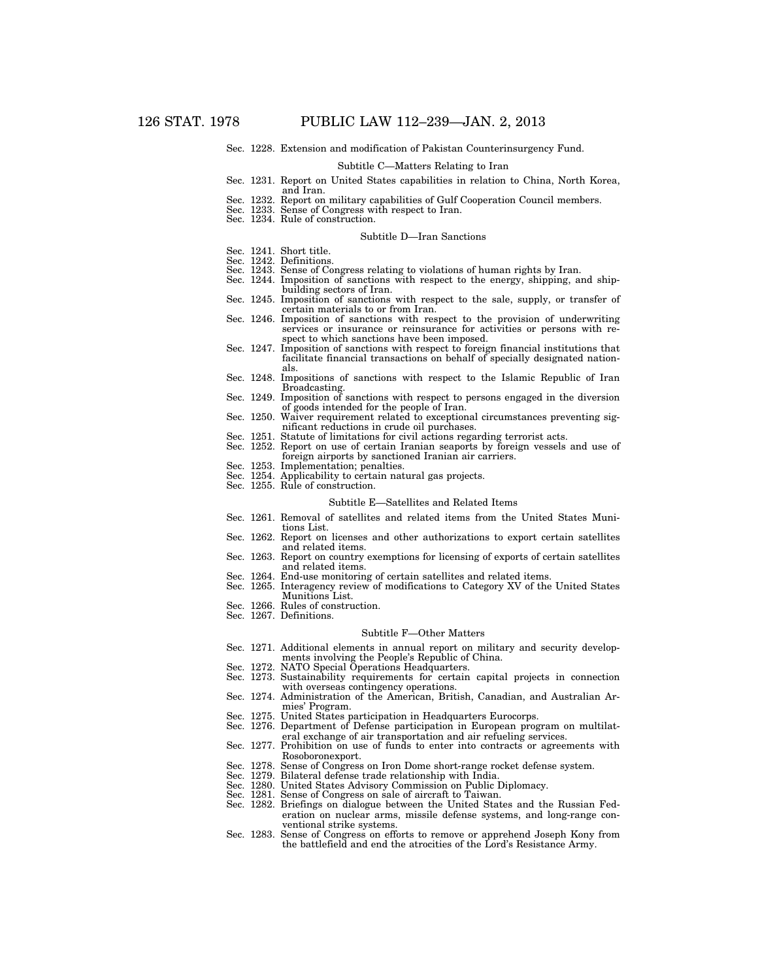Sec. 1228. Extension and modification of Pakistan Counterinsurgency Fund.

#### Subtitle C—Matters Relating to Iran

- Sec. 1231. Report on United States capabilities in relation to China, North Korea, and Iran.
- Sec. 1232. Report on military capabilities of Gulf Cooperation Council members.
- Sec. 1233. Sense of Congress with respect to Iran.
- Sec. 1234. Rule of construction.

#### Subtitle D—Iran Sanctions

- Sec. 1241. Short title.
- Sec. 1242. Definitions.
- 
- Sec. 1243. Sense of Congress relating to violations of human rights by Iran. Sec. 1244. Imposition of sanctions with respect to the energy, shipping, and shipbuilding sectors of Iran.
- Sec. 1245. Imposition of sanctions with respect to the sale, supply, or transfer of certain materials to or from Iran.
- Sec. 1246. Imposition of sanctions with respect to the provision of underwriting services or insurance or reinsurance for activities or persons with respect to which sanctions have been imposed.
- Sec. 1247. Imposition of sanctions with respect to foreign financial institutions that facilitate financial transactions on behalf of specially designated nationals.
- Sec. 1248. Impositions of sanctions with respect to the Islamic Republic of Iran Broadcasting. Sec. 1249. Imposition of sanctions with respect to persons engaged in the diversion
- of goods intended for the people of Iran. Sec. 1250. Waiver requirement related to exceptional circumstances preventing sig-
- nificant reductions in crude oil purchases.
- Sec. 1251. Statute of limitations for civil actions regarding terrorist acts.
- Sec. 1252. Report on use of certain Iranian seaports by foreign vessels and use of foreign airports by sanctioned Iranian air carriers.
	- Sec. 1253. Implementation; penalties.
	- Sec. 1254. Applicability to certain natural gas projects.
	- Sec. 1255. Rule of construction.

#### Subtitle E—Satellites and Related Items

- Sec. 1261. Removal of satellites and related items from the United States Munitions List.
- Sec. 1262. Report on licenses and other authorizations to export certain satellites and related items.
- Sec. 1263. Report on country exemptions for licensing of exports of certain satellites and related items.
- 
- Sec. 1264. End-use monitoring of certain satellites and related items. Sec. 1265. Interagency review of modifications to Category XV of the United States Munitions List.
- Sec. 1266. Rules of construction.
- Sec. 1267. Definitions.

# Subtitle F—Other Matters

- Sec. 1271. Additional elements in annual report on military and security developments involving the People's Republic of China. Sec. 1272. NATO Special Operations Headquarters.
- Sec. 1273. Sustainability requirements for certain capital projects in connection with overseas contingency operations.
- Sec. 1274. Administration of the American, British, Canadian, and Australian Armies' Program.
- 
- Sec. 1275. United States participation in Headquarters Eurocorps. Sec. 1276. Department of Defense participation in European program on multilateral exchange of air transportation and air refueling services.
- Sec. 1277. Prohibition on use of funds to enter into contracts or agreements with Rosoboronexport.
- Sec. 1278. Sense of Congress on Iron Dome short-range rocket defense system.
- Sec. 1279. Bilateral defense trade relationship with India.
- Sec. 1280. United States Advisory Commission on Public Diplomacy. Sec. 1281. Sense of Congress on sale of aircraft to Taiwan.
- 
- Sec. 1282. Briefings on dialogue between the United States and the Russian Federation on nuclear arms, missile defense systems, and long-range conventional strike systems.
- Sec. 1283. Sense of Congress on efforts to remove or apprehend Joseph Kony from the battlefield and end the atrocities of the Lord's Resistance Army.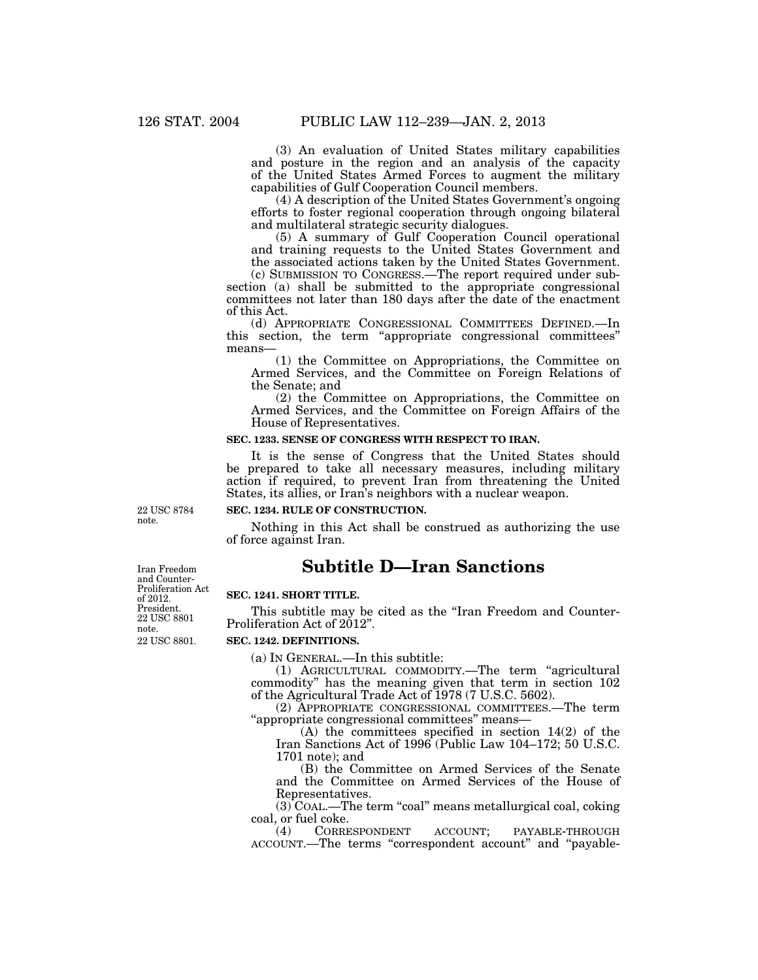(3) An evaluation of United States military capabilities and posture in the region and an analysis of the capacity of the United States Armed Forces to augment the military capabilities of Gulf Cooperation Council members.

(4) A description of the United States Government's ongoing efforts to foster regional cooperation through ongoing bilateral and multilateral strategic security dialogues.

(5) A summary of Gulf Cooperation Council operational and training requests to the United States Government and the associated actions taken by the United States Government.

(c) SUBMISSION TO CONGRESS.—The report required under subsection (a) shall be submitted to the appropriate congressional committees not later than 180 days after the date of the enactment of this Act.

(d) APPROPRIATE CONGRESSIONAL COMMITTEES DEFINED.—In this section, the term ''appropriate congressional committees'' means—

(1) the Committee on Appropriations, the Committee on Armed Services, and the Committee on Foreign Relations of the Senate; and

(2) the Committee on Appropriations, the Committee on Armed Services, and the Committee on Foreign Affairs of the House of Representatives.

# **SEC. 1233. SENSE OF CONGRESS WITH RESPECT TO IRAN.**

It is the sense of Congress that the United States should be prepared to take all necessary measures, including military action if required, to prevent Iran from threatening the United States, its allies, or Iran's neighbors with a nuclear weapon.

22 USC 8784 note.

**SEC. 1234. RULE OF CONSTRUCTION.** 

Nothing in this Act shall be construed as authorizing the use of force against Iran.

# **Subtitle D—Iran Sanctions**

## **SEC. 1241. SHORT TITLE.**

This subtitle may be cited as the "Iran Freedom and Counter-Proliferation Act of 2012''.

#### **SEC. 1242. DEFINITIONS.**

(a) IN GENERAL.—In this subtitle:

(1) AGRICULTURAL COMMODITY.—The term ''agricultural commodity'' has the meaning given that term in section 102 of the Agricultural Trade Act of 1978 (7 U.S.C. 5602).

(2) APPROPRIATE CONGRESSIONAL COMMITTEES.—The term ''appropriate congressional committees'' means—

(A) the committees specified in section 14(2) of the Iran Sanctions Act of 1996 (Public Law 104–172; 50 U.S.C. 1701 note); and

(B) the Committee on Armed Services of the Senate and the Committee on Armed Services of the House of Representatives.

 $(3)$  COAL.—The term "coal" means metallurgical coal, coking coal, or fuel coke.<br>(4) CORRESPONDENT

(4) CORRESPONDENT ACCOUNT; PAYABLE-THROUGH ACCOUNT.—The terms ''correspondent account'' and ''payable-

22 USC 8801. Iran Freedom and Counter-Proliferation Act of 2012. President. 22 USC 8801 note.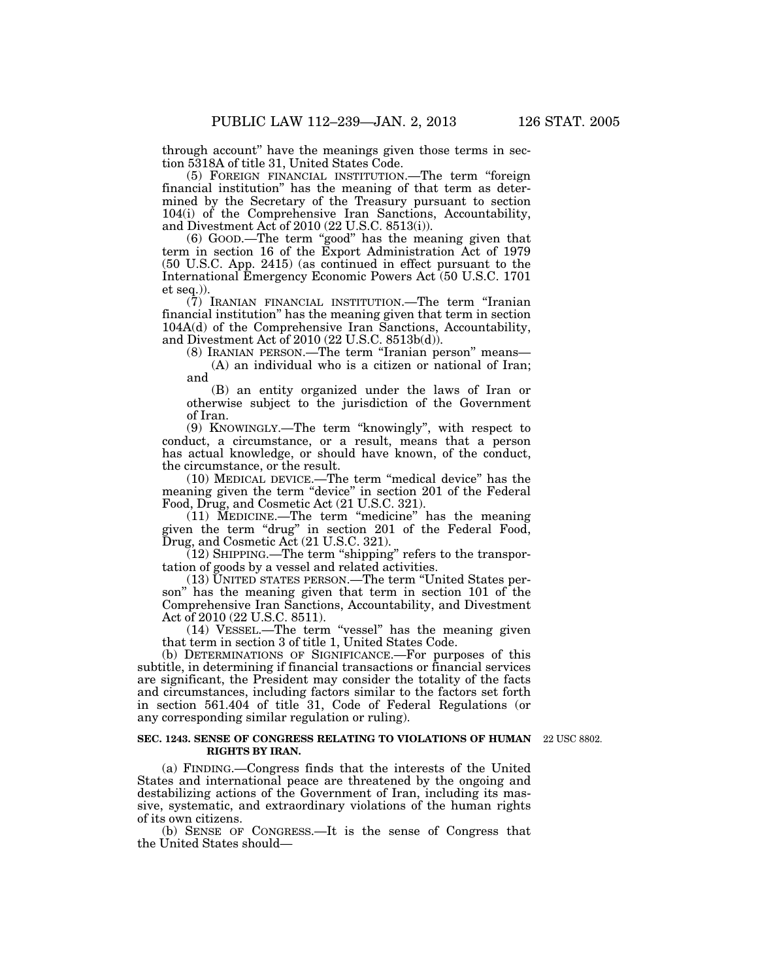through account'' have the meanings given those terms in section 5318A of title 31, United States Code.

(5) FOREIGN FINANCIAL INSTITUTION.—The term ''foreign financial institution'' has the meaning of that term as determined by the Secretary of the Treasury pursuant to section 104(i) of the Comprehensive Iran Sanctions, Accountability, and Divestment Act of 2010 (22 U.S.C. 8513(i)).

(6) GOOD.—The term ''good'' has the meaning given that term in section 16 of the Export Administration Act of 1979 (50 U.S.C. App. 2415) (as continued in effect pursuant to the International Emergency Economic Powers Act (50 U.S.C. 1701 et seq.)).

(7) IRANIAN FINANCIAL INSTITUTION.—The term ''Iranian financial institution'' has the meaning given that term in section 104A(d) of the Comprehensive Iran Sanctions, Accountability, and Divestment Act of 2010 (22 U.S.C. 8513b(d)).

(8) IRANIAN PERSON.—The term ''Iranian person'' means—

(A) an individual who is a citizen or national of Iran; and

(B) an entity organized under the laws of Iran or otherwise subject to the jurisdiction of the Government of Iran.

(9) KNOWINGLY.—The term ''knowingly'', with respect to conduct, a circumstance, or a result, means that a person has actual knowledge, or should have known, of the conduct, the circumstance, or the result.

(10) MEDICAL DEVICE.—The term ''medical device'' has the meaning given the term ''device'' in section 201 of the Federal Food, Drug, and Cosmetic Act (21 U.S.C. 321).

 $(11)$  MEDICINE.—The term "medicine" has the meaning given the term ''drug'' in section 201 of the Federal Food, Drug, and Cosmetic Act (21 U.S.C. 321).

 $(12)$  SHIPPING.—The term "shipping" refers to the transportation of goods by a vessel and related activities.

(13) UNITED STATES PERSON.—The term ''United States person" has the meaning given that term in section 101 of the Comprehensive Iran Sanctions, Accountability, and Divestment Act of 2010 (22 U.S.C. 8511).

(14) VESSEL.—The term ''vessel'' has the meaning given that term in section 3 of title 1, United States Code.

(b) DETERMINATIONS OF SIGNIFICANCE.—For purposes of this subtitle, in determining if financial transactions or financial services are significant, the President may consider the totality of the facts and circumstances, including factors similar to the factors set forth in section 561.404 of title 31, Code of Federal Regulations (or any corresponding similar regulation or ruling).

#### **SEC. 1243. SENSE OF CONGRESS RELATING TO VIOLATIONS OF HUMAN**  22 USC 8802. **RIGHTS BY IRAN.**

(a) FINDING.—Congress finds that the interests of the United States and international peace are threatened by the ongoing and destabilizing actions of the Government of Iran, including its massive, systematic, and extraordinary violations of the human rights of its own citizens.

(b) SENSE OF CONGRESS.—It is the sense of Congress that the United States should—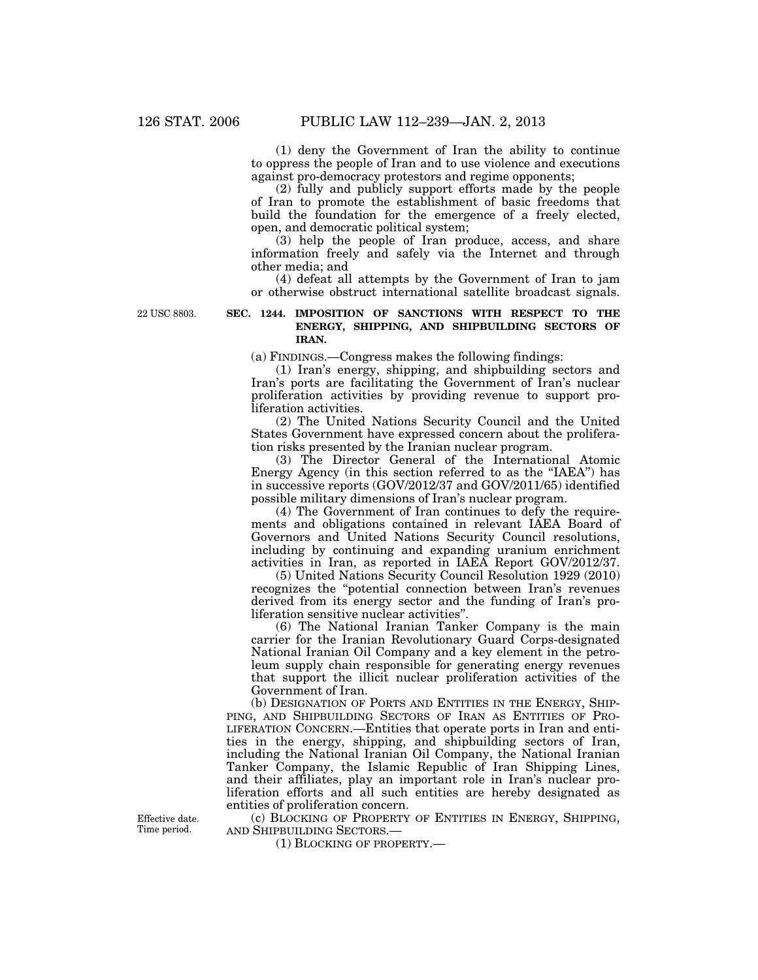(1) deny the Government of Iran the ability to continue to oppress the people of Iran and to use violence and executions against pro-democracy protestors and regime opponents;

(2) fully and publicly support efforts made by the people of Iran to promote the establishment of basic freedoms that build the foundation for the emergence of a freely elected, open, and democratic political system;

(3) help the people of Iran produce, access, and share information freely and safely via the Internet and through other media; and

(4) defeat all attempts by the Government of Iran to jam or otherwise obstruct international satellite broadcast signals.

22 USC 8803.

# **SEC. 1244. IMPOSITION OF SANCTIONS WITH RESPECT TO THE ENERGY, SHIPPING, AND SHIPBUILDING SECTORS OF IRAN.**

(a) FINDINGS.—Congress makes the following findings:

(1) Iran's energy, shipping, and shipbuilding sectors and Iran's ports are facilitating the Government of Iran's nuclear proliferation activities by providing revenue to support proliferation activities.

(2) The United Nations Security Council and the United States Government have expressed concern about the proliferation risks presented by the Iranian nuclear program.

(3) The Director General of the International Atomic Energy Agency (in this section referred to as the ''IAEA'') has in successive reports (GOV/2012/37 and GOV/2011/65) identified possible military dimensions of Iran's nuclear program.

(4) The Government of Iran continues to defy the requirements and obligations contained in relevant IAEA Board of Governors and United Nations Security Council resolutions, including by continuing and expanding uranium enrichment activities in Iran, as reported in IAEA Report GOV/2012/37.

(5) United Nations Security Council Resolution 1929 (2010) recognizes the ''potential connection between Iran's revenues derived from its energy sector and the funding of Iran's proliferation sensitive nuclear activities''.

(6) The National Iranian Tanker Company is the main carrier for the Iranian Revolutionary Guard Corps-designated National Iranian Oil Company and a key element in the petroleum supply chain responsible for generating energy revenues that support the illicit nuclear proliferation activities of the Government of Iran.

(b) DESIGNATION OF PORTS AND ENTITIES IN THE ENERGY, SHIP-PING, AND SHIPBUILDING SECTORS OF IRAN AS ENTITIES OF PRO-LIFERATION CONCERN.—Entities that operate ports in Iran and entities in the energy, shipping, and shipbuilding sectors of Iran, including the National Iranian Oil Company, the National Iranian Tanker Company, the Islamic Republic of Iran Shipping Lines, and their affiliates, play an important role in Iran's nuclear proliferation efforts and all such entities are hereby designated as entities of proliferation concern.

Effective date. Time period.

(c) BLOCKING OF PROPERTY OF ENTITIES IN ENERGY, SHIPPING, AND SHIPBUILDING SECTORS.—

(1) BLOCKING OF PROPERTY.—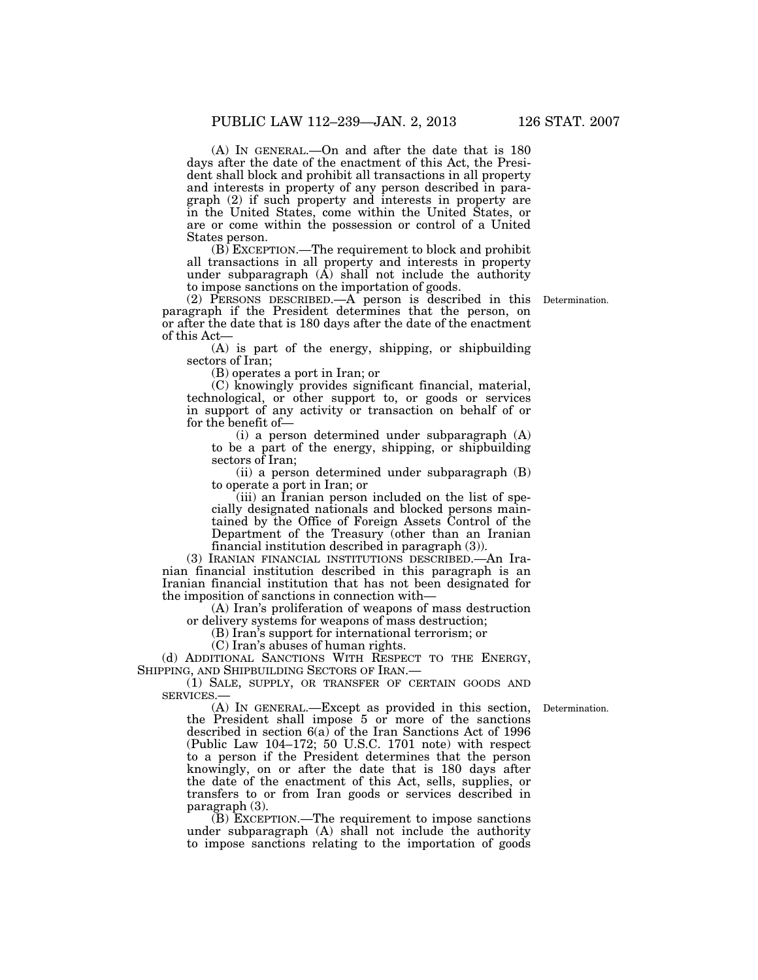(A) IN GENERAL.—On and after the date that is 180 days after the date of the enactment of this Act, the President shall block and prohibit all transactions in all property and interests in property of any person described in paragraph (2) if such property and interests in property are in the United States, come within the United States, or are or come within the possession or control of a United States person.

(B) EXCEPTION.—The requirement to block and prohibit all transactions in all property and interests in property under subparagraph  $(\overline{A})$  shall not include the authority to impose sanctions on the importation of goods.

(2) PERSONS DESCRIBED.—A person is described in this paragraph if the President determines that the person, on or after the date that is 180 days after the date of the enactment of this Act—

(A) is part of the energy, shipping, or shipbuilding sectors of Iran;

(B) operates a port in Iran; or

(C) knowingly provides significant financial, material, technological, or other support to, or goods or services in support of any activity or transaction on behalf of or for the benefit of—

(i) a person determined under subparagraph (A) to be a part of the energy, shipping, or shipbuilding sectors of Iran;

(ii) a person determined under subparagraph (B) to operate a port in Iran; or

(iii) an Iranian person included on the list of specially designated nationals and blocked persons maintained by the Office of Foreign Assets Control of the Department of the Treasury (other than an Iranian financial institution described in paragraph (3)).

(3) IRANIAN FINANCIAL INSTITUTIONS DESCRIBED.—An Iranian financial institution described in this paragraph is an Iranian financial institution that has not been designated for the imposition of sanctions in connection with—

(A) Iran's proliferation of weapons of mass destruction or delivery systems for weapons of mass destruction;

(B) Iran's support for international terrorism; or

(C) Iran's abuses of human rights.

(d) ADDITIONAL SANCTIONS WITH RESPECT TO THE ENERGY, SHIPPING, AND SHIPBUILDING SECTORS OF IRAN.—

(1) SALE, SUPPLY, OR TRANSFER OF CERTAIN GOODS AND SERVICES.

Determination.

(A) IN GENERAL.—Except as provided in this section, the President shall impose 5 or more of the sanctions described in section 6(a) of the Iran Sanctions Act of 1996 (Public Law 104–172; 50 U.S.C. 1701 note) with respect to a person if the President determines that the person knowingly, on or after the date that is 180 days after the date of the enactment of this Act, sells, supplies, or transfers to or from Iran goods or services described in paragraph (3).

(B) EXCEPTION.—The requirement to impose sanctions under subparagraph (A) shall not include the authority to impose sanctions relating to the importation of goods

Determination.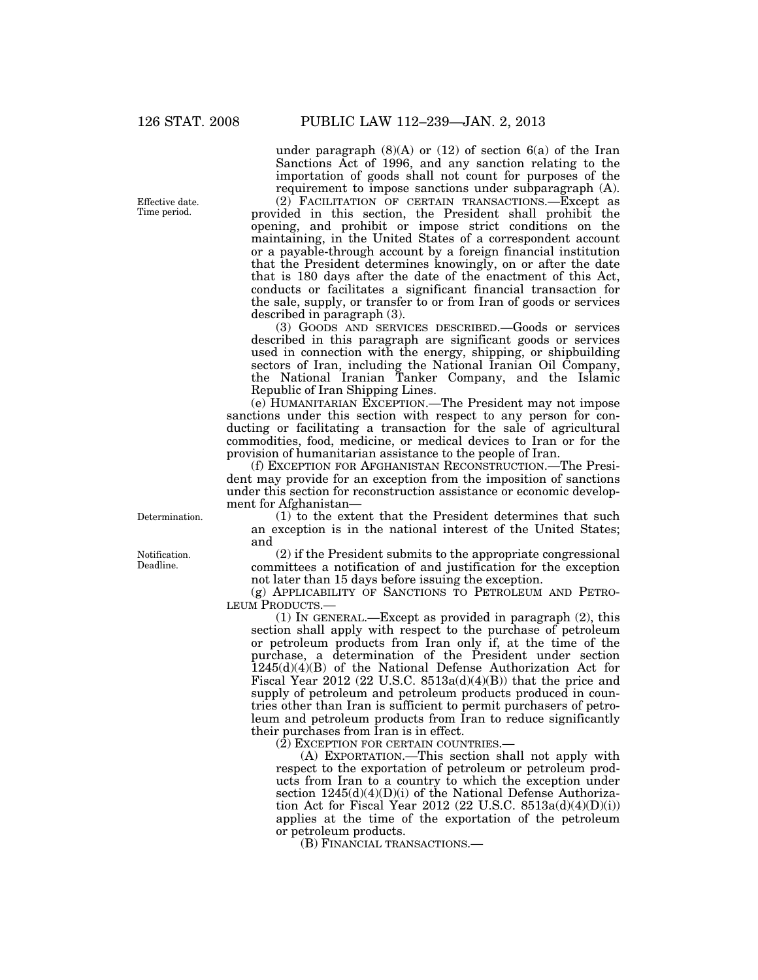Effective date. Time period.

Determination.

Notification. Deadline.

under paragraph  $(8)(A)$  or  $(12)$  of section  $6(a)$  of the Iran Sanctions Act of 1996, and any sanction relating to the importation of goods shall not count for purposes of the requirement to impose sanctions under subparagraph (A). (2) FACILITATION OF CERTAIN TRANSACTIONS.—Except as

provided in this section, the President shall prohibit the opening, and prohibit or impose strict conditions on the maintaining, in the United States of a correspondent account or a payable-through account by a foreign financial institution that the President determines knowingly, on or after the date that is 180 days after the date of the enactment of this Act, conducts or facilitates a significant financial transaction for the sale, supply, or transfer to or from Iran of goods or services described in paragraph (3).

(3) GOODS AND SERVICES DESCRIBED.—Goods or services described in this paragraph are significant goods or services used in connection with the energy, shipping, or shipbuilding sectors of Iran, including the National Iranian Oil Company, the National Iranian Tanker Company, and the Islamic Republic of Iran Shipping Lines.

(e) HUMANITARIAN EXCEPTION.—The President may not impose sanctions under this section with respect to any person for conducting or facilitating a transaction for the sale of agricultural commodities, food, medicine, or medical devices to Iran or for the provision of humanitarian assistance to the people of Iran.

(f) EXCEPTION FOR AFGHANISTAN RECONSTRUCTION.—The President may provide for an exception from the imposition of sanctions under this section for reconstruction assistance or economic development for Afghanistan—

(1) to the extent that the President determines that such an exception is in the national interest of the United States; and

(2) if the President submits to the appropriate congressional committees a notification of and justification for the exception not later than 15 days before issuing the exception.

(g) APPLICABILITY OF SANCTIONS TO PETROLEUM AND PETRO-LEUM PRODUCTS.—

(1) IN GENERAL.—Except as provided in paragraph (2), this section shall apply with respect to the purchase of petroleum or petroleum products from Iran only if, at the time of the purchase, a determination of the President under section  $1245(d)(4)(B)$  of the National Defense Authorization Act for Fiscal Year 2012 (22 U.S.C. 8513a(d)(4)(B)) that the price and supply of petroleum and petroleum products produced in countries other than Iran is sufficient to permit purchasers of petroleum and petroleum products from Iran to reduce significantly their purchases from Iran is in effect.

(2) EXCEPTION FOR CERTAIN COUNTRIES.—

(A) EXPORTATION.—This section shall not apply with respect to the exportation of petroleum or petroleum products from Iran to a country to which the exception under section  $1245(d)(4)(D)(i)$  of the National Defense Authorization Act for Fiscal Year 2012 (22 U.S.C.  $8513a(d)(4)(D(i))$ ) applies at the time of the exportation of the petroleum or petroleum products.

(B) FINANCIAL TRANSACTIONS.—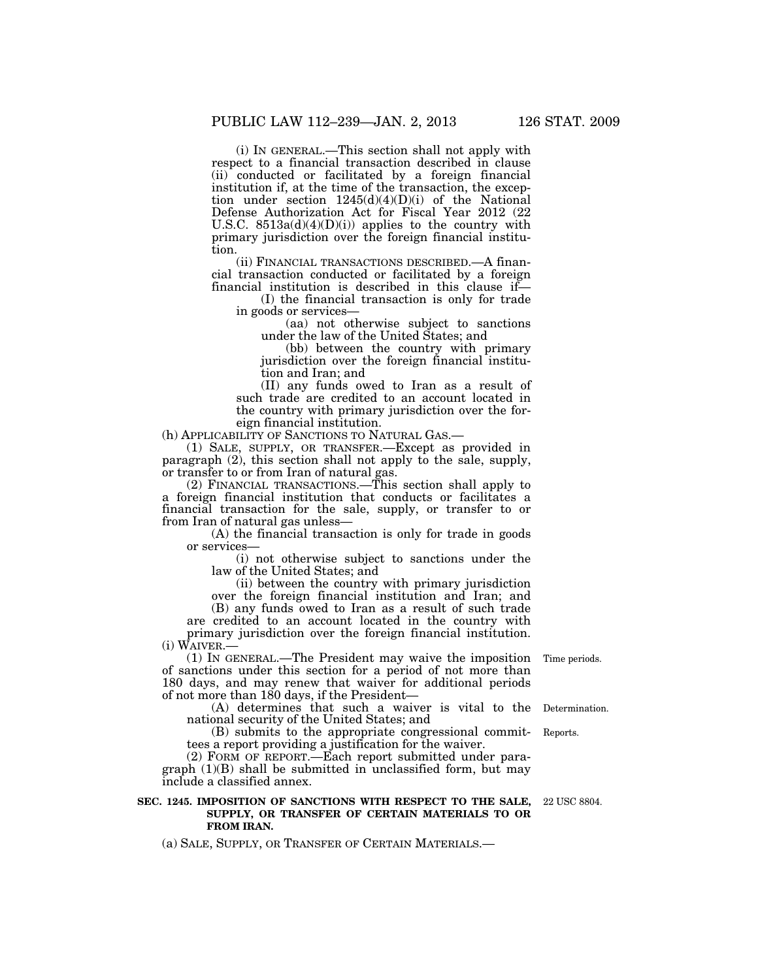(i) IN GENERAL.—This section shall not apply with respect to a financial transaction described in clause (ii) conducted or facilitated by a foreign financial institution if, at the time of the transaction, the exception under section 1245(d)(4)(D)(i) of the National Defense Authorization Act for Fiscal Year 2012 (22 U.S.C.  $8513a(d)(4)(D)(i)$  applies to the country with primary jurisdiction over the foreign financial institution.

(ii) FINANCIAL TRANSACTIONS DESCRIBED.—A financial transaction conducted or facilitated by a foreign financial institution is described in this clause if—

(I) the financial transaction is only for trade in goods or services—

(aa) not otherwise subject to sanctions under the law of the United States; and

(bb) between the country with primary jurisdiction over the foreign financial institution and Iran; and

(II) any funds owed to Iran as a result of such trade are credited to an account located in the country with primary jurisdiction over the foreign financial institution.

(h) APPLICABILITY OF SANCTIONS TO NATURAL GAS.—

(1) SALE, SUPPLY, OR TRANSFER.—Except as provided in paragraph (2), this section shall not apply to the sale, supply, or transfer to or from Iran of natural gas.

(2) FINANCIAL TRANSACTIONS.—This section shall apply to a foreign financial institution that conducts or facilitates a financial transaction for the sale, supply, or transfer to or from Iran of natural gas unless—

(A) the financial transaction is only for trade in goods or services—

(i) not otherwise subject to sanctions under the law of the United States; and

(ii) between the country with primary jurisdiction over the foreign financial institution and Iran; and (B) any funds owed to Iran as a result of such trade are credited to an account located in the country with primary jurisdiction over the foreign financial institution. (i) WAIVER.—

(1) IN GENERAL.—The President may waive the imposition Time periods. of sanctions under this section for a period of not more than 180 days, and may renew that waiver for additional periods of not more than 180 days, if the President—

(A) determines that such a waiver is vital to the Determination. national security of the United States; and

(B) submits to the appropriate congressional commit-Reports. tees a report providing a justification for the waiver.

(2) FORM OF REPORT.—Each report submitted under paragraph  $(1)(B)$  shall be submitted in unclassified form, but may include a classified annex.

# **SEC. 1245. IMPOSITION OF SANCTIONS WITH RESPECT TO THE SALE, SUPPLY, OR TRANSFER OF CERTAIN MATERIALS TO OR FROM IRAN.**

(a) SALE, SUPPLY, OR TRANSFER OF CERTAIN MATERIALS.—

22 USC 8804.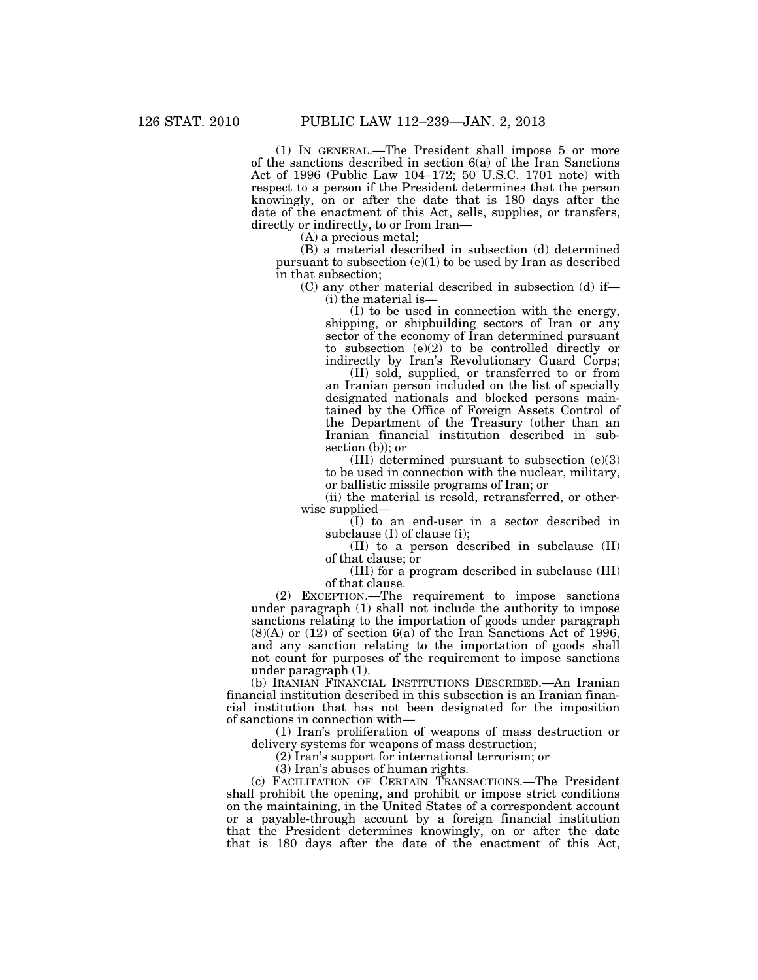(1) IN GENERAL.—The President shall impose 5 or more of the sanctions described in section 6(a) of the Iran Sanctions Act of 1996 (Public Law 104–172; 50 U.S.C. 1701 note) with respect to a person if the President determines that the person knowingly, on or after the date that is 180 days after the date of the enactment of this Act, sells, supplies, or transfers, directly or indirectly, to or from Iran—

(A) a precious metal;

(B) a material described in subsection (d) determined pursuant to subsection  $(e)(1)$  to be used by Iran as described in that subsection;

(C) any other material described in subsection (d) if— (i) the material is—

(I) to be used in connection with the energy, shipping, or shipbuilding sectors of Iran or any sector of the economy of Iran determined pursuant to subsection (e)(2) to be controlled directly or indirectly by Iran's Revolutionary Guard Corps;

(II) sold, supplied, or transferred to or from an Iranian person included on the list of specially designated nationals and blocked persons maintained by the Office of Foreign Assets Control of the Department of the Treasury (other than an Iranian financial institution described in subsection (b)); or

(III) determined pursuant to subsection (e)(3) to be used in connection with the nuclear, military, or ballistic missile programs of Iran; or

(ii) the material is resold, retransferred, or otherwise supplied—

(I) to an end-user in a sector described in subclause (I) of clause (i);

(II) to a person described in subclause (II) of that clause; or

(III) for a program described in subclause (III) of that clause.

(2) EXCEPTION.—The requirement to impose sanctions under paragraph (1) shall not include the authority to impose sanctions relating to the importation of goods under paragraph  $(8)(A)$  or  $(12)$  of section  $6(a)$  of the Iran Sanctions Act of 1996, and any sanction relating to the importation of goods shall not count for purposes of the requirement to impose sanctions under paragraph (1).

(b) IRANIAN FINANCIAL INSTITUTIONS DESCRIBED.—An Iranian financial institution described in this subsection is an Iranian financial institution that has not been designated for the imposition of sanctions in connection with—

(1) Iran's proliferation of weapons of mass destruction or delivery systems for weapons of mass destruction;

(2) Iran's support for international terrorism; or

(3) Iran's abuses of human rights.

(c) FACILITATION OF CERTAIN TRANSACTIONS.—The President shall prohibit the opening, and prohibit or impose strict conditions on the maintaining, in the United States of a correspondent account or a payable-through account by a foreign financial institution that the President determines knowingly, on or after the date that is 180 days after the date of the enactment of this Act,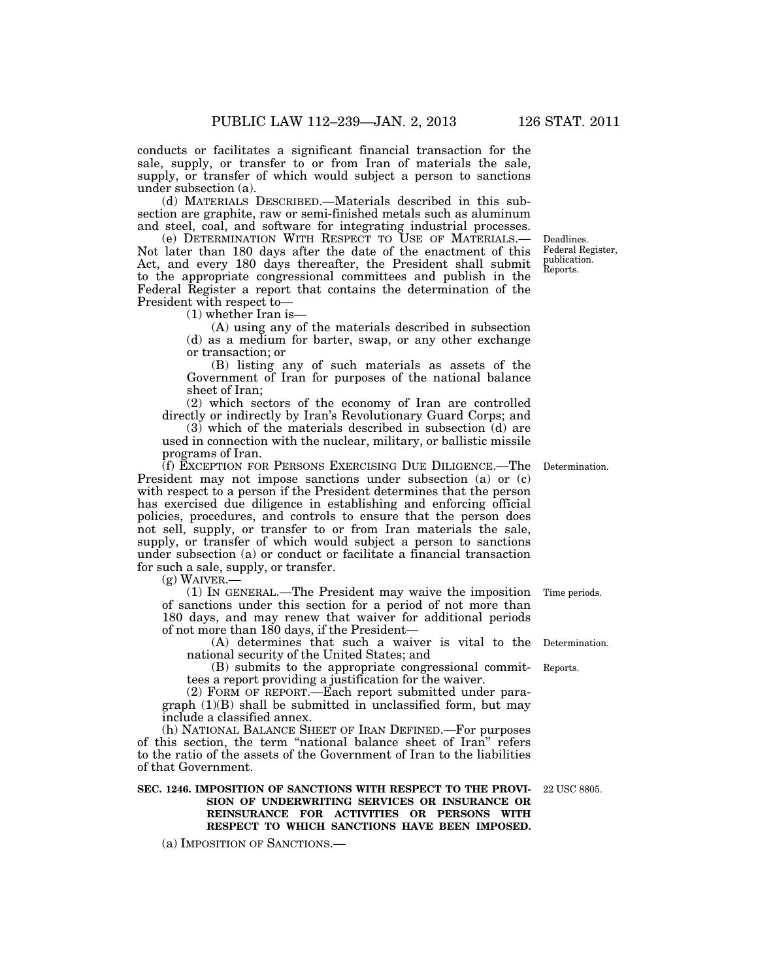conducts or facilitates a significant financial transaction for the sale, supply, or transfer to or from Iran of materials the sale, supply, or transfer of which would subject a person to sanctions under subsection (a).

(d) MATERIALS DESCRIBED.—Materials described in this subsection are graphite, raw or semi-finished metals such as aluminum and steel, coal, and software for integrating industrial processes.

(e) DETERMINATION WITH RESPECT TO USE OF MATERIALS.— Not later than 180 days after the date of the enactment of this Act, and every 180 days thereafter, the President shall submit to the appropriate congressional committees and publish in the Federal Register a report that contains the determination of the President with respect to—

(1) whether Iran is—

(A) using any of the materials described in subsection (d) as a medium for barter, swap, or any other exchange or transaction; or

(B) listing any of such materials as assets of the Government of Iran for purposes of the national balance sheet of Iran;

(2) which sectors of the economy of Iran are controlled directly or indirectly by Iran's Revolutionary Guard Corps; and

 $(3)$  which of the materials described in subsection  $(d)$  are used in connection with the nuclear, military, or ballistic missile programs of Iran.

(f) EXCEPTION FOR PERSONS EXERCISING DUE DILIGENCE.—The President may not impose sanctions under subsection (a) or (c) with respect to a person if the President determines that the person has exercised due diligence in establishing and enforcing official policies, procedures, and controls to ensure that the person does not sell, supply, or transfer to or from Iran materials the sale, supply, or transfer of which would subject a person to sanctions under subsection (a) or conduct or facilitate a financial transaction for such a sale, supply, or transfer.

 $(g)$  WAIVER.

(1) IN GENERAL.—The President may waive the imposition Time periods. of sanctions under this section for a period of not more than 180 days, and may renew that waiver for additional periods of not more than 180 days, if the President—

(A) determines that such a waiver is vital to the Determination. national security of the United States; and

(B) submits to the appropriate congressional committees a report providing a justification for the waiver.

(2) FORM OF REPORT.—Each report submitted under paragraph  $(1)(B)$  shall be submitted in unclassified form, but may include a classified annex.

(h) NATIONAL BALANCE SHEET OF IRAN DEFINED.—For purposes of this section, the term "national balance sheet of Iran" refers to the ratio of the assets of the Government of Iran to the liabilities of that Government.

### **SEC. 1246. IMPOSITION OF SANCTIONS WITH RESPECT TO THE PROVI-**22 USC 8805. **SION OF UNDERWRITING SERVICES OR INSURANCE OR REINSURANCE FOR ACTIVITIES OR PERSONS WITH RESPECT TO WHICH SANCTIONS HAVE BEEN IMPOSED.**

(a) IMPOSITION OF SANCTIONS.—

Determination.

Reports.

Federal Register, publication. Reports.

Deadlines.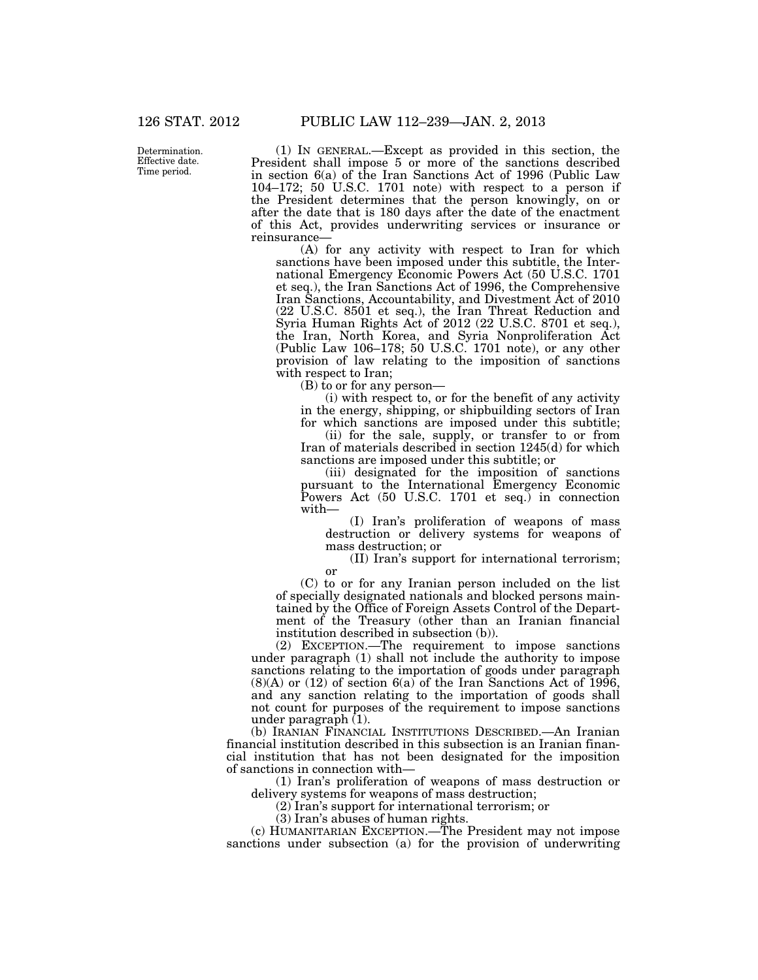Determination. Effective date. Time period.

(1) IN GENERAL.—Except as provided in this section, the President shall impose 5 or more of the sanctions described in section 6(a) of the Iran Sanctions Act of 1996 (Public Law 104–172; 50 U.S.C. 1701 note) with respect to a person if the President determines that the person knowingly, on or after the date that is 180 days after the date of the enactment of this Act, provides underwriting services or insurance or reinsurance—

(A) for any activity with respect to Iran for which sanctions have been imposed under this subtitle, the International Emergency Economic Powers Act (50 U.S.C. 1701 et seq.), the Iran Sanctions Act of 1996, the Comprehensive Iran Sanctions, Accountability, and Divestment Act of 2010 (22 U.S.C. 8501 et seq.), the Iran Threat Reduction and Syria Human Rights Act of 2012 (22 U.S.C. 8701 et seq.), the Iran, North Korea, and Syria Nonproliferation Act (Public Law 106–178; 50 U.S.C. 1701 note), or any other provision of law relating to the imposition of sanctions with respect to Iran;

(B) to or for any person—

or

(i) with respect to, or for the benefit of any activity in the energy, shipping, or shipbuilding sectors of Iran for which sanctions are imposed under this subtitle;

(ii) for the sale, supply, or transfer to or from Iran of materials described in section 1245(d) for which sanctions are imposed under this subtitle; or

(iii) designated for the imposition of sanctions pursuant to the International Emergency Economic Powers Act (50 U.S.C. 1701 et seq.) in connection with—

(I) Iran's proliferation of weapons of mass destruction or delivery systems for weapons of mass destruction; or

(II) Iran's support for international terrorism;

(C) to or for any Iranian person included on the list of specially designated nationals and blocked persons maintained by the Office of Foreign Assets Control of the Department of the Treasury (other than an Iranian financial institution described in subsection (b)).

(2) EXCEPTION.—The requirement to impose sanctions under paragraph (1) shall not include the authority to impose sanctions relating to the importation of goods under paragraph  $(8)(A)$  or  $(12)$  of section  $6(a)$  of the Iran Sanctions Act of 1996, and any sanction relating to the importation of goods shall not count for purposes of the requirement to impose sanctions under paragraph  $(1)$ .

(b) IRANIAN FINANCIAL INSTITUTIONS DESCRIBED.—An Iranian financial institution described in this subsection is an Iranian financial institution that has not been designated for the imposition of sanctions in connection with—

(1) Iran's proliferation of weapons of mass destruction or delivery systems for weapons of mass destruction;

(2) Iran's support for international terrorism; or

(3) Iran's abuses of human rights.

(c) HUMANITARIAN EXCEPTION.—The President may not impose sanctions under subsection (a) for the provision of underwriting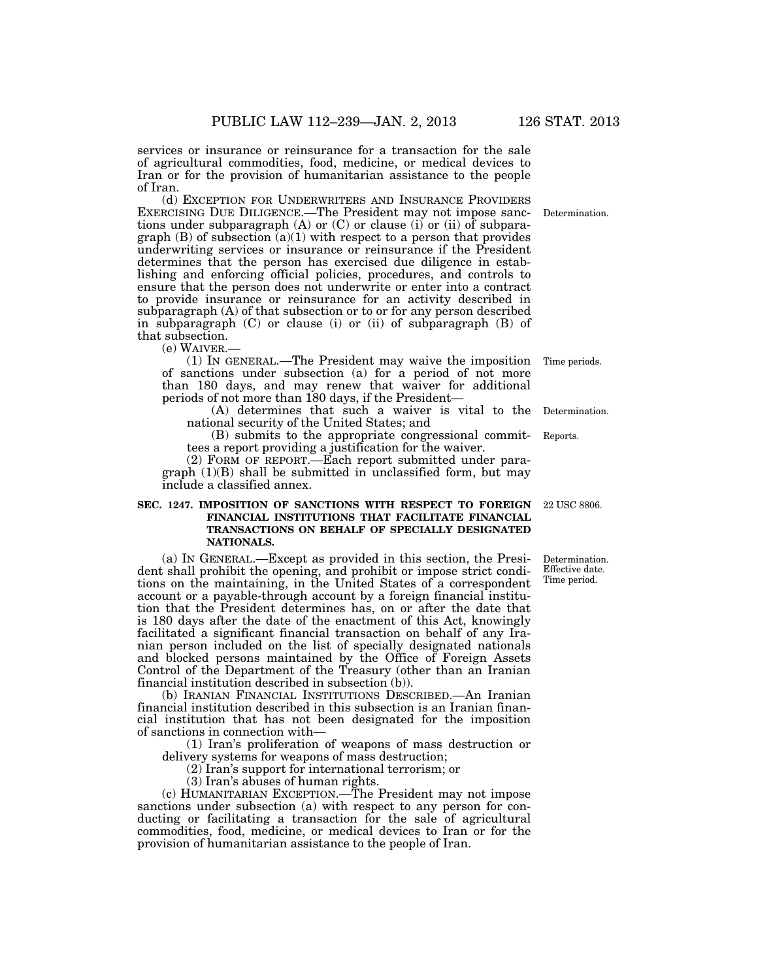services or insurance or reinsurance for a transaction for the sale of agricultural commodities, food, medicine, or medical devices to Iran or for the provision of humanitarian assistance to the people of Iran.

(d) EXCEPTION FOR UNDERWRITERS AND INSURANCE PROVIDERS EXERCISING DUE DILIGENCE.—The President may not impose sanctions under subparagraph (A) or (C) or clause (i) or (ii) of subparagraph  $(B)$  of subsection  $(a)(1)$  with respect to a person that provides underwriting services or insurance or reinsurance if the President determines that the person has exercised due diligence in establishing and enforcing official policies, procedures, and controls to ensure that the person does not underwrite or enter into a contract to provide insurance or reinsurance for an activity described in subparagraph (A) of that subsection or to or for any person described in subparagraph (C) or clause (i) or (ii) of subparagraph (B) of that subsection.

(e) WAIVER.—

(1) IN GENERAL.—The President may waive the imposition Time periods. of sanctions under subsection (a) for a period of not more than 180 days, and may renew that waiver for additional periods of not more than 180 days, if the President—

(A) determines that such a waiver is vital to the Determination. national security of the United States; and

(B) submits to the appropriate congressional committees a report providing a justification for the waiver. Reports.

(2) FORM OF REPORT.—Each report submitted under para $graph (1)(B) shall be submitted in unclassified form, but may$ include a classified annex.

### **SEC. 1247. IMPOSITION OF SANCTIONS WITH RESPECT TO FOREIGN FINANCIAL INSTITUTIONS THAT FACILITATE FINANCIAL TRANSACTIONS ON BEHALF OF SPECIALLY DESIGNATED NATIONALS.**

(a) IN GENERAL.—Except as provided in this section, the President shall prohibit the opening, and prohibit or impose strict conditions on the maintaining, in the United States of a correspondent account or a payable-through account by a foreign financial institution that the President determines has, on or after the date that is 180 days after the date of the enactment of this Act, knowingly facilitated a significant financial transaction on behalf of any Iranian person included on the list of specially designated nationals and blocked persons maintained by the Office of Foreign Assets Control of the Department of the Treasury (other than an Iranian financial institution described in subsection (b)).

(b) IRANIAN FINANCIAL INSTITUTIONS DESCRIBED.—An Iranian financial institution described in this subsection is an Iranian financial institution that has not been designated for the imposition of sanctions in connection with—

(1) Iran's proliferation of weapons of mass destruction or delivery systems for weapons of mass destruction;

(2) Iran's support for international terrorism; or

(3) Iran's abuses of human rights.

(c) HUMANITARIAN EXCEPTION.—The President may not impose sanctions under subsection (a) with respect to any person for conducting or facilitating a transaction for the sale of agricultural commodities, food, medicine, or medical devices to Iran or for the provision of humanitarian assistance to the people of Iran.

22 USC 8806.

Determination. Effective date. Time period.

Determination.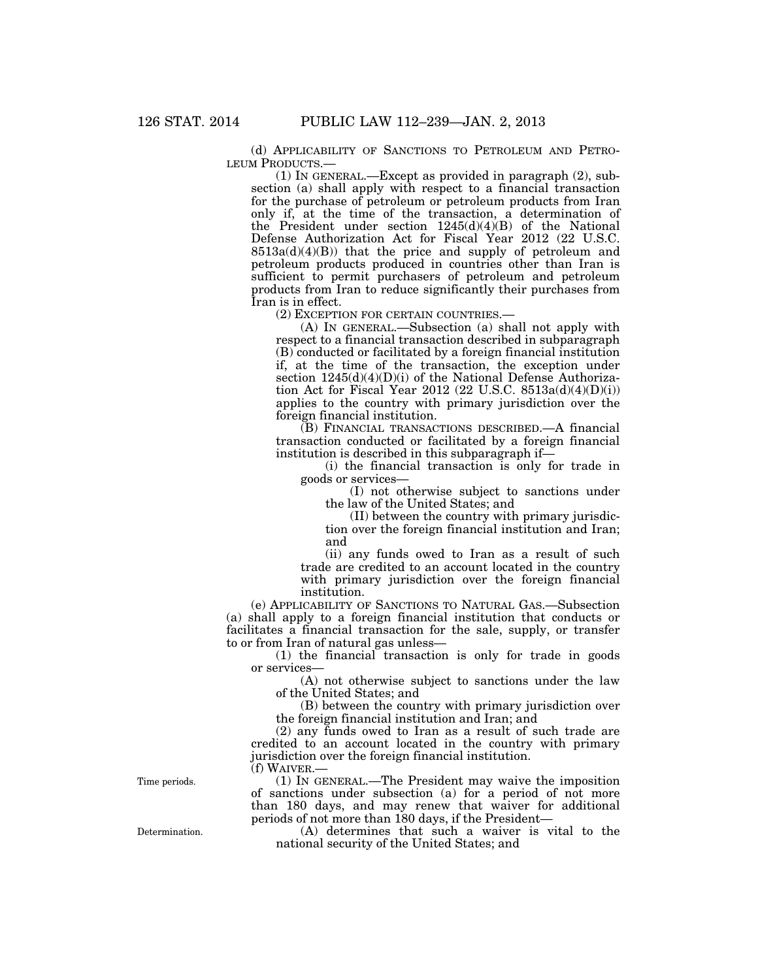(d) APPLICABILITY OF SANCTIONS TO PETROLEUM AND PETRO-LEUM PRODUCTS.—

(1) IN GENERAL.—Except as provided in paragraph (2), subsection (a) shall apply with respect to a financial transaction for the purchase of petroleum or petroleum products from Iran only if, at the time of the transaction, a determination of the President under section 1245(d)(4)(B) of the National Defense Authorization Act for Fiscal Year 2012 (22 U.S.C.  $8513a(d)(4)(B)$  that the price and supply of petroleum and petroleum products produced in countries other than Iran is sufficient to permit purchasers of petroleum and petroleum products from Iran to reduce significantly their purchases from Iran is in effect.

(2) EXCEPTION FOR CERTAIN COUNTRIES.—

(A) IN GENERAL.—Subsection (a) shall not apply with respect to a financial transaction described in subparagraph (B) conducted or facilitated by a foreign financial institution if, at the time of the transaction, the exception under section 1245(d)(4)(D)(i) of the National Defense Authorization Act for Fiscal Year 2012 (22 U.S.C. 8513a(d)(4)(D)(i)) applies to the country with primary jurisdiction over the foreign financial institution.

(B) FINANCIAL TRANSACTIONS DESCRIBED.—A financial transaction conducted or facilitated by a foreign financial institution is described in this subparagraph if—

(i) the financial transaction is only for trade in goods or services—

(I) not otherwise subject to sanctions under the law of the United States; and

(II) between the country with primary jurisdiction over the foreign financial institution and Iran; and

(ii) any funds owed to Iran as a result of such trade are credited to an account located in the country with primary jurisdiction over the foreign financial institution.

(e) APPLICABILITY OF SANCTIONS TO NATURAL GAS.—Subsection (a) shall apply to a foreign financial institution that conducts or facilitates a financial transaction for the sale, supply, or transfer to or from Iran of natural gas unless—

(1) the financial transaction is only for trade in goods or services—

(A) not otherwise subject to sanctions under the law of the United States; and

(B) between the country with primary jurisdiction over the foreign financial institution and Iran; and

(2) any funds owed to Iran as a result of such trade are credited to an account located in the country with primary jurisdiction over the foreign financial institution. (f) WAIVER.—

(1) IN GENERAL.—The President may waive the imposition of sanctions under subsection (a) for a period of not more than 180 days, and may renew that waiver for additional periods of not more than 180 days, if the President—

(A) determines that such a waiver is vital to the national security of the United States; and

Time periods.

Determination.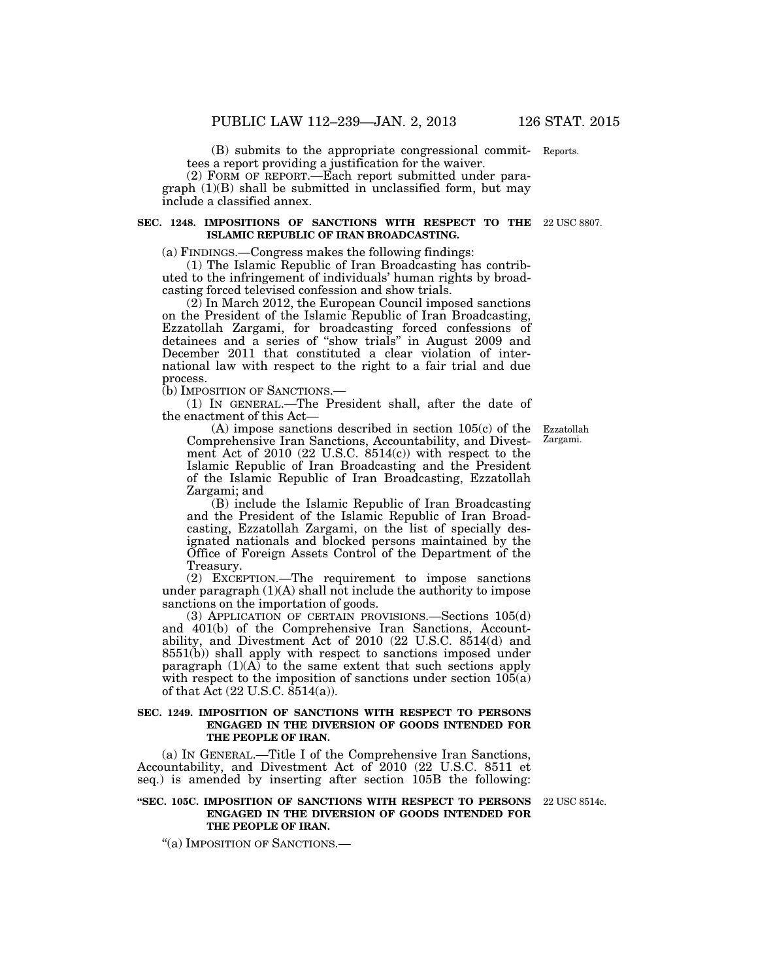(B) submits to the appropriate congressional commit-Reports. tees a report providing a justification for the waiver.

(2) FORM OF REPORT.—Each report submitted under para $graph (1)(B) shall be submitted in unclassified form, but may$ include a classified annex.

#### **SEC. 1248. IMPOSITIONS OF SANCTIONS WITH RESPECT TO THE**  22 USC 8807. **ISLAMIC REPUBLIC OF IRAN BROADCASTING.**

(a) FINDINGS.—Congress makes the following findings:

(1) The Islamic Republic of Iran Broadcasting has contributed to the infringement of individuals' human rights by broadcasting forced televised confession and show trials.

(2) In March 2012, the European Council imposed sanctions on the President of the Islamic Republic of Iran Broadcasting, Ezzatollah Zargami, for broadcasting forced confessions of detainees and a series of ''show trials'' in August 2009 and December 2011 that constituted a clear violation of international law with respect to the right to a fair trial and due process.

(b) IMPOSITION OF SANCTIONS.—

(1) IN GENERAL.—The President shall, after the date of the enactment of this Act—

(A) impose sanctions described in section 105(c) of the Comprehensive Iran Sanctions, Accountability, and Divestment Act of  $2010$   $(22 \text{ U.S.C. } 8514(c))$  with respect to the Islamic Republic of Iran Broadcasting and the President of the Islamic Republic of Iran Broadcasting, Ezzatollah Zargami; and

(B) include the Islamic Republic of Iran Broadcasting and the President of the Islamic Republic of Iran Broadcasting, Ezzatollah Zargami, on the list of specially designated nationals and blocked persons maintained by the Office of Foreign Assets Control of the Department of the Treasury.

(2) EXCEPTION.—The requirement to impose sanctions under paragraph  $(1)(A)$  shall not include the authority to impose sanctions on the importation of goods.

(3) APPLICATION OF CERTAIN PROVISIONS.—Sections 105(d) and 401(b) of the Comprehensive Iran Sanctions, Accountability, and Divestment Act of 2010 (22 U.S.C. 8514(d) and 8551(b)) shall apply with respect to sanctions imposed under paragraph  $(1)(A)$  to the same extent that such sections apply with respect to the imposition of sanctions under section  $105(a)$ of that Act (22 U.S.C. 8514(a)).

# **SEC. 1249. IMPOSITION OF SANCTIONS WITH RESPECT TO PERSONS ENGAGED IN THE DIVERSION OF GOODS INTENDED FOR THE PEOPLE OF IRAN.**

(a) IN GENERAL.—Title I of the Comprehensive Iran Sanctions, Accountability, and Divestment Act of 2010 (22 U.S.C. 8511 et seq.) is amended by inserting after section 105B the following:

### **''SEC. 105C. IMPOSITION OF SANCTIONS WITH RESPECT TO PERSONS**  22 USC 8514c. **ENGAGED IN THE DIVERSION OF GOODS INTENDED FOR THE PEOPLE OF IRAN.**

''(a) IMPOSITION OF SANCTIONS.—

Ezzatollah Zargami.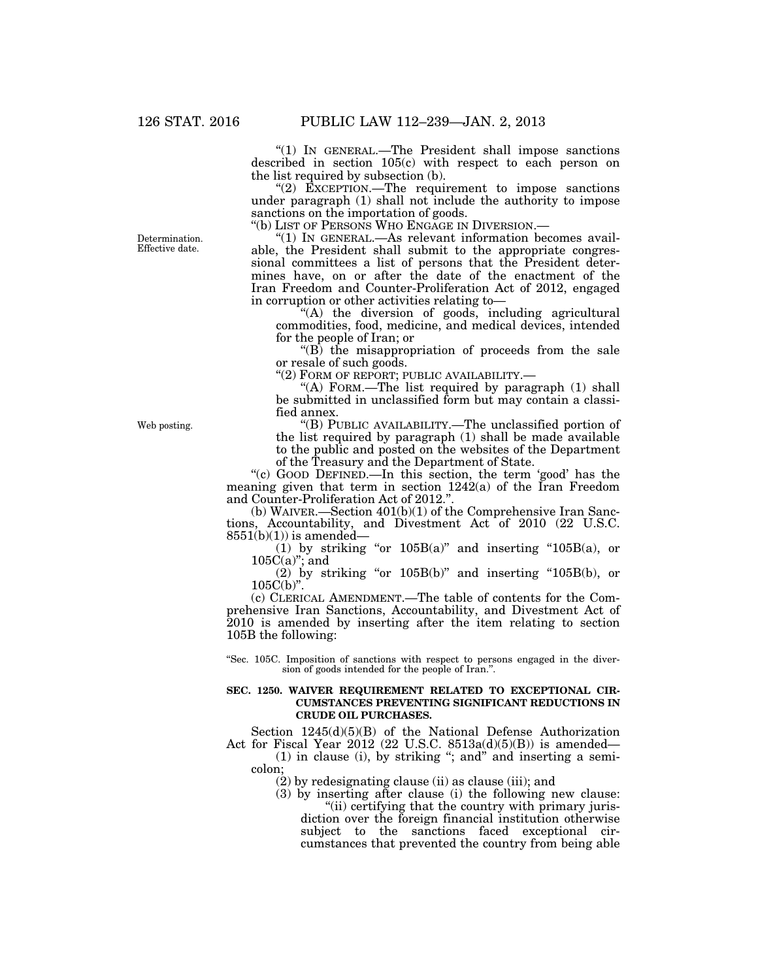''(1) IN GENERAL.—The President shall impose sanctions described in section 105(c) with respect to each person on the list required by subsection (b).

" $(2)$  EXCEPTION.—The requirement to impose sanctions under paragraph (1) shall not include the authority to impose sanctions on the importation of goods.

''(b) LIST OF PERSONS WHO ENGAGE IN DIVERSION.—

''(1) IN GENERAL.—As relevant information becomes available, the President shall submit to the appropriate congressional committees a list of persons that the President determines have, on or after the date of the enactment of the Iran Freedom and Counter-Proliferation Act of 2012, engaged in corruption or other activities relating to—

''(A) the diversion of goods, including agricultural commodities, food, medicine, and medical devices, intended for the people of Iran; or

 $\mathrm{``(B)}$  the misappropriation of proceeds from the sale or resale of such goods.

''(2) FORM OF REPORT; PUBLIC AVAILABILITY.—

"(A) FORM.—The list required by paragraph (1) shall be submitted in unclassified form but may contain a classified annex.

''(B) PUBLIC AVAILABILITY.—The unclassified portion of the list required by paragraph (1) shall be made available to the public and posted on the websites of the Department of the Treasury and the Department of State.

''(c) GOOD DEFINED.—In this section, the term 'good' has the meaning given that term in section 1242(a) of the Iran Freedom and Counter-Proliferation Act of 2012."

(b) WAIVER.—Section 401(b)(1) of the Comprehensive Iran Sanctions, Accountability, and Divestment Act of 2010 (22 U.S.C.  $8551(b)(1)$ ) is amended—

 $(1)$  by striking "or  $105B(a)$ " and inserting " $105B(a)$ , or  $105C(a)$ "; and

(2) by striking "or  $105B(b)$ " and inserting " $105B(b)$ , or  $105C(b)$ ".

(c) CLERICAL AMENDMENT.—The table of contents for the Comprehensive Iran Sanctions, Accountability, and Divestment Act of 2010 is amended by inserting after the item relating to section 105B the following:

''Sec. 105C. Imposition of sanctions with respect to persons engaged in the diversion of goods intended for the people of Iran.''.

### **SEC. 1250. WAIVER REQUIREMENT RELATED TO EXCEPTIONAL CIR-CUMSTANCES PREVENTING SIGNIFICANT REDUCTIONS IN CRUDE OIL PURCHASES.**

Section 1245(d)(5)(B) of the National Defense Authorization Act for Fiscal Year 2012 (22 U.S.C. 8513a(d)(5)(B)) is amended—

(1) in clause (i), by striking ''; and'' and inserting a semicolon;

(2) by redesignating clause (ii) as clause (iii); and

(3) by inserting after clause (i) the following new clause: "(ii) certifying that the country with primary juris-

diction over the foreign financial institution otherwise subject to the sanctions faced exceptional circumstances that prevented the country from being able

Determination. Effective date.

Web posting.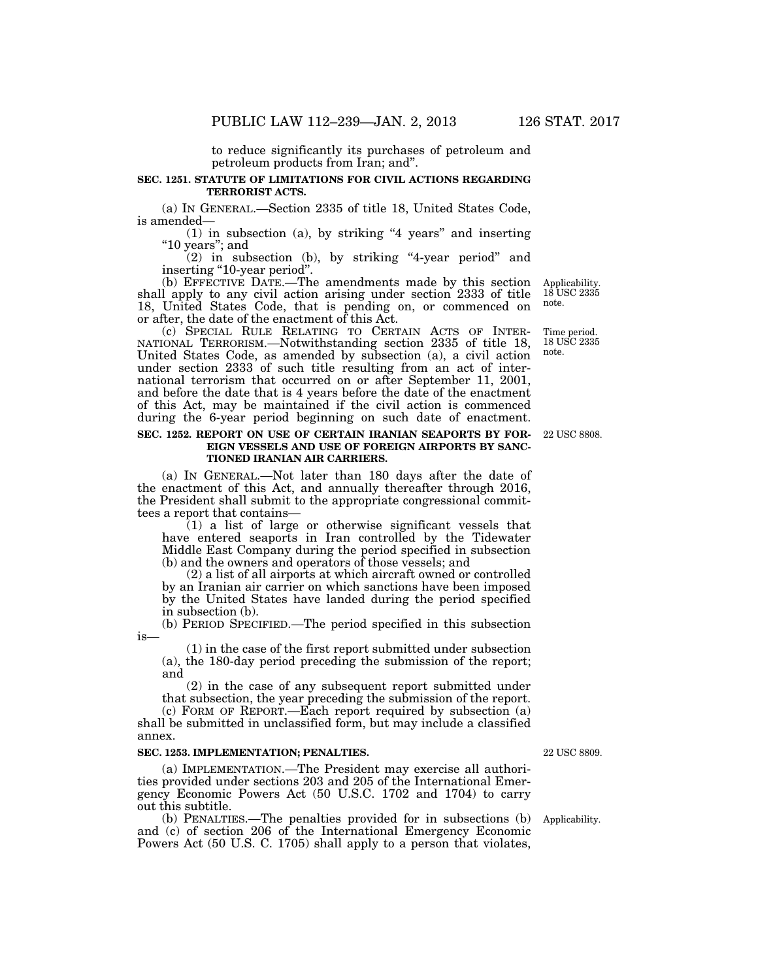to reduce significantly its purchases of petroleum and petroleum products from Iran; and''.

# **SEC. 1251. STATUTE OF LIMITATIONS FOR CIVIL ACTIONS REGARDING TERRORIST ACTS.**

(a) IN GENERAL.—Section 2335 of title 18, United States Code, is amended—

(1) in subsection (a), by striking "4 years" and inserting "10 years"; and

(2) in subsection (b), by striking ''4-year period'' and inserting "10-year period".

(b) EFFECTIVE DATE.—The amendments made by this section shall apply to any civil action arising under section 2333 of title 18, United States Code, that is pending on, or commenced on or after, the date of the enactment of this Act.

(c) SPECIAL RULE RELATING TO CERTAIN ACTS OF INTER- NATIONAL TERRORISM.—Notwithstanding section 2335 of title 18, United States Code, as amended by subsection (a), a civil action under section 2333 of such title resulting from an act of international terrorism that occurred on or after September 11, 2001, and before the date that is 4 years before the date of the enactment of this Act, may be maintained if the civil action is commenced during the 6-year period beginning on such date of enactment.

### **SEC. 1252. REPORT ON USE OF CERTAIN IRANIAN SEAPORTS BY FOR-EIGN VESSELS AND USE OF FOREIGN AIRPORTS BY SANC-TIONED IRANIAN AIR CARRIERS.**

(a) IN GENERAL.—Not later than 180 days after the date of the enactment of this Act, and annually thereafter through 2016, the President shall submit to the appropriate congressional committees a report that contains—

(1) a list of large or otherwise significant vessels that have entered seaports in Iran controlled by the Tidewater Middle East Company during the period specified in subsection (b) and the owners and operators of those vessels; and

(2) a list of all airports at which aircraft owned or controlled by an Iranian air carrier on which sanctions have been imposed by the United States have landed during the period specified in subsection (b).

(b) PERIOD SPECIFIED.—The period specified in this subsection

(1) in the case of the first report submitted under subsection (a), the 180-day period preceding the submission of the report; and

(2) in the case of any subsequent report submitted under that subsection, the year preceding the submission of the report.

(c) FORM OF REPORT.—Each report required by subsection (a) shall be submitted in unclassified form, but may include a classified annex.

#### **SEC. 1253. IMPLEMENTATION; PENALTIES.**

is—

(a) IMPLEMENTATION.—The President may exercise all authorities provided under sections 203 and 205 of the International Emergency Economic Powers Act (50 U.S.C. 1702 and 1704) to carry out this subtitle.

(b) PENALTIES.—The penalties provided for in subsections (b) and (c) of section 206 of the International Emergency Economic Powers Act (50 U.S. C. 1705) shall apply to a person that violates,

22 USC 8809.

Applicability.

22 USC 8808.

Applicability. 18 USC 2335 note.

Time period.

18 USC 2335 note.